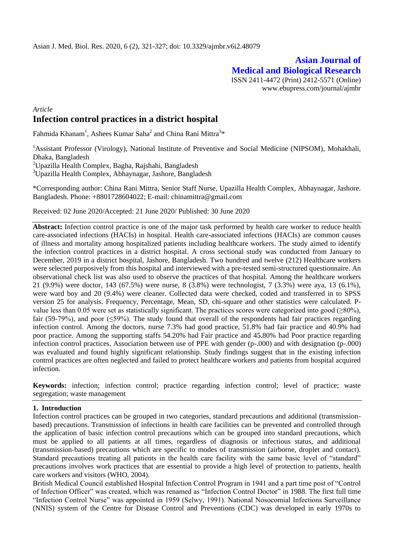# **Asian Journal of Medical and Biological Research** ISSN 2411-4472 (Print) 2412-5571 (Online)

www.ebupress.com/journal/ajmbr

# *Article* **Infection control practices in a district hospital**

Fahmida Khanam<sup>1</sup>, Ashees Kumar Saha<sup>2</sup> and China Rani Mittra<sup>3\*</sup>

<sup>1</sup>Assistant Professor (Virology), National Institute of Preventive and Social Medicine (NIPSOM), Mohakhali, Dhaka, Bangladesh

<sup>2</sup>Upazilla Health Complex, Bagha, Rajshahi, Bangladesh

<sup>3</sup>Upazilla Health Complex, Abhaynagar, Jashore, Bangladesh

\*Corresponding author: China Rani Mittra, Senior Staff Nurse, Upazilla Health Complex, Abhaynagar, Jashore. Bangladesh. Phone: +8801728604022; E-mail: chinamittra@gmail.com

Received: 02 June 2020/Accepted: 21 June 2020/ Published: 30 June 2020

**Abstract:** Infection control practice is one of the major task performed by health care worker to reduce health care-associated infections (HACIs) in hospital. Health care-associated infections (HACIs) are common causes of illness and mortality among hospitalized patients including healthcare workers. The study aimed to identify the infection control practices in a district hospital. A cross sectional study was conducted from January to December, 2019 in a district hospital, Jashore, Bangladesh. Two hundred and twelve (212) Healthcare workers were selected purposively from this hospital and interviewed with a pre-tested semi-structured questionnaire. An observational check list was also used to observe the practices of that hospital. Among the healthcare workers 21 (9.9%) were doctor, 143 (67.5%) were nurse, 8 (3.8%) were technologist, 7 (3.3%) were aya, 13 (6.1%), were ward boy and 20 (9.4%) were cleaner. Collected data were checked, coded and transferred in to SPSS version 25 for analysis. Frequency, Percentage, Mean, SD, chi-square and other statistics were calculated. Pvalue less than 0.05 were set as statistically significant. The practices scores were categorized into good  $(\geq 80\%)$ , fair (59-79%), and poor ( $\leq$ 59%). The study found that overall of the respondents had fair practices regarding infection control. Among the doctors, nurse 7.3% had good practice, 51.8% had fair practice and 40.9% had poor practice. Among the supporting staffs 54.20% had Fair practice and 45.80% had Poor practice regarding infection control practices. Association between use of PPE with gender (p-.000) and with designation (p-.000) was evaluated and found highly significant relationship. Study findings suggest that in the existing infection control practices are often neglected and failed to protect healthcare workers and patients from hospital acquired infection.

**Keywords:** infection; infection control; practice regarding infection control; level of practice; waste segregation; waste management

#### **1. Introduction**

Infection control practices can be grouped in two categories, standard precautions and additional (transmissionbased) precautions. Transmission of infections in health care facilities can be prevented and controlled through the application of basic infection control precautions which can be grouped into standard precautions, which must be applied to all patients at all times, regardless of diagnosis or infectious status, and additional (transmission-based) precautions which are specific to modes of transmission (airborne, droplet and contact). Standard precautions treating all patients in the health care facility with the same basic level of "standard" precautions involves work practices that are essential to provide a high level of protection to patients, health care workers and visitors (WHO, 2004).

British Medical Council established Hospital Infection Control Program in 1941 and a part time post of "Control of Infection Officer" was created, which was renamed as "Infection Control Doctor" in 1988. The first full time "Infection Control Nurse" was appointed in 1959 (Selwy, 1991). National Nosocomial Infections Surveillance (NNIS) system of the Centre for Disease Control and Preventions (CDC) was developed in early 1970s to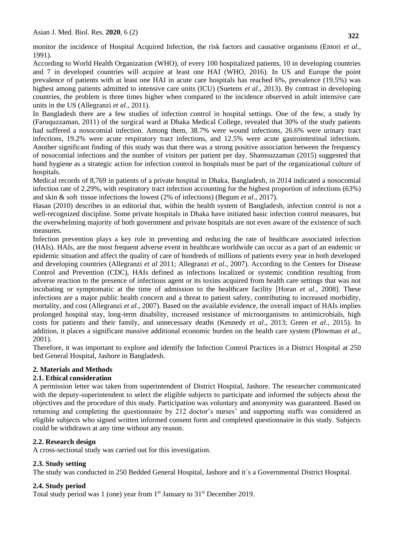monitor the incidence of Hospital Acquired Infection, the risk factors and causative organisms (Emori *et al*., 1991).

According to World Health Organization (WHO), of every 100 hospitalized patients, 10 in developing countries and 7 in developed countries will acquire at least one HAI (WHO, 2016). In US and Europe the point prevalence of patients with at least one HAI in acute care hospitals has reached 6%, prevalence (19.5%) was highest among patients admitted to intensive care units (ICU) (Suetens *et al*., 2013). By contrast in developing countries, the problem is three times higher when compared to the incidence observed in adult intensive care units in the US (Allegranzi *et al*., 2011).

In Bangladesh there are a few studies of infection control in hospital settings. One of the few, a study by (Faruquzzaman, 2011) of the surgical ward at Dhaka Medical College, revealed that 30% of the study patients had suffered a nosocomial infection. Among them, 38.7% were wound infections, 26.6% were urinary tract infections, 19.2% were acute respiratory tract infections, and 12.5% were acute gastrointestinal infections. Another significant finding of this study was that there was a strong positive association between the frequency of nosocomial infections and the number of visitors per patient per day. Shamsuzzaman (2015) suggested that hand hygiene as a strategic action for infection control in hospitals must be part of the organizational culture of hospitals.

Medical records of 8,769 in patients of a private hospital in Dhaka, Bangladesh, in 2014 indicated a nosocomial infection rate of 2.29%, with respiratory tract infection accounting for the highest proportion of infections (63%) and skin & soft tissue infections the lowest (2% of infections) (Begum *et al*., 2017).

Hasan (2010) describes in an editorial that, within the health system of Bangladesh, infection control is not a well-recognized discipline. Some private hospitals in Dhaka have initiated basic infection control measures, but the overwhelming majority of both government and private hospitals are not even aware of the existence of such measures.

Infection prevention plays a key role in preventing and reducing the rate of healthcare associated infection (HAIs). HAIs, are the most frequent adverse event in healthcare worldwide can occur as a part of an endemic or epidemic situation and affect the quality of care of hundreds of millions of patients every year in both developed and developing countries (Allegranzi *et al* 2011; Allegranzi *et al*., 2007). According to the Centers for Disease Control and Prevention (CDC), HAIs defined as infections localized or systemic condition resulting from adverse reaction to the presence of infectious agent or its toxins acquired from health care settings that was not incubating or symptomatic at the time of admission to the healthcare facility [Horan *et al*., 2008]. These infections are a major public health concern and a threat to patient safety, contributing to increased morbidity, mortality, and cost (Allegranzi *et al*., 2007). Based on the available evidence, the overall impact of HAIs implies prolonged hospital stay, long-term disability, increased resistance of microorganisms to antimicrobials, high costs for patients and their family, and unnecessary deaths (Kennedy *et al*., 2013; Green *et al*., 2015). In addition, it places a significant massive additional economic burden on the health care system (Plowman *et al*., 2001).

Therefore, it was important to explore and identify the Infection Control Practices in a District Hospital at 250 bed General Hospital, Jashore in Bangladesh.

# **2. Materials and Methods**

# **2.1. Ethical consideration**

A permission letter was taken from superintendent of District Hospital, Jashore. The researcher communicated with the deputy-superintendent to select the eligible subjects to participate and informed the subjects about the objectives and the procedure of this study. Participation was voluntary and anonymity was guaranteed. Based on returning and completing the questionnaire by 212 doctor's nurses' and supporting staffs was considered as eligible subjects who signed written informed consent form and completed questionnaire in this study. Subjects could be withdrawn at any time without any reason.

# **2.2. Research design**

A cross-sectional study was carried out for this investigation.

# **2.3. Study setting**

The study was conducted in 250 Bedded General Hospital, Jashore and it`s a Governmental District Hospital.

# **2.4. Study period**

Total study period was 1 (one) year from  $1<sup>st</sup>$  January to  $31<sup>st</sup>$  December 2019.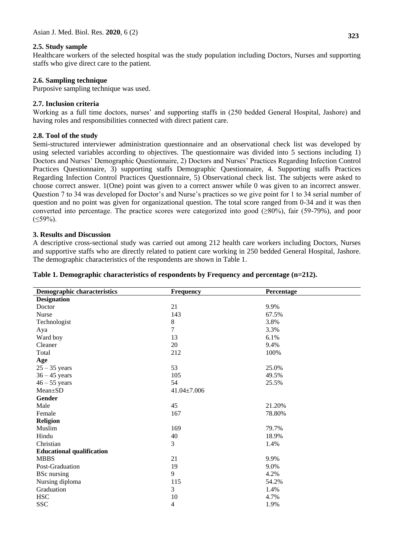## **2.5. Study sample**

Healthcare workers of the selected hospital was the study population including Doctors, Nurses and supporting staffs who give direct care to the patient.

## **2.6. Sampling technique**

Purposive sampling technique was used.

## **2.7. Inclusion criteria**

Working as a full time doctors, nurses' and supporting staffs in (250 bedded General Hospital, Jashore) and having roles and responsibilities connected with direct patient care.

## **2.8. Tool of the study**

Semi-structured interviewer administration questionnaire and an observational check list was developed by using selected variables according to objectives. The questionnaire was divided into 5 sections including 1) Doctors and Nurses' Demographic Questionnaire, 2) Doctors and Nurses' Practices Regarding Infection Control Practices Questionnaire, 3) supporting staffs Demographic Questionnaire, 4. Supporting staffs Practices Regarding Infection Control Practices Questionnaire, 5) Observational check list. The subjects were asked to choose correct answer. 1(One) point was given to a correct answer while 0 was given to an incorrect answer. Question 7 to 34 was developed for Doctor's and Nurse's practices so we give point for 1 to 34 serial number of question and no point was given for organizational question. The total score ranged from 0-34 and it was then converted into percentage. The practice scores were categorized into good  $(\geq 80\%)$ , fair (59-79%), and poor  $(59\%).$ 

#### **3. Results and Discussion**

A descriptive cross-sectional study was carried out among 212 health care workers including Doctors, Nurses and supportive staffs who are directly related to patient care working in 250 bedded General Hospital, Jashore. The demographic characteristics of the respondents are shown in Table 1.

| <b>Demographic characteristics</b> | <b>Frequency</b>  | Percentage |
|------------------------------------|-------------------|------------|
| <b>Designation</b>                 |                   |            |
| Doctor                             | 21                | 9.9%       |
| Nurse                              | 143               | 67.5%      |
| Technologist                       | $\bf 8$           | 3.8%       |
| Aya                                | $\overline{7}$    | 3.3%       |
| Ward boy                           | 13                | 6.1%       |
| Cleaner                            | 20                | 9.4%       |
| Total                              | 212               | 100%       |
| Age                                |                   |            |
| $25 - 35$ years                    | 53                | 25.0%      |
| $36 - 45$ years                    | 105               | 49.5%      |
| $46 - 55$ years                    | 54                | 25.5%      |
| Mean±SD                            | $41.04 \pm 7.006$ |            |
| Gender                             |                   |            |
| Male                               | 45                | 21.20%     |
| Female                             | 167               | 78.80%     |
| <b>Religion</b>                    |                   |            |
| Muslim                             | 169               | 79.7%      |
| Hindu                              | 40                | 18.9%      |
| Christian                          | 3                 | 1.4%       |
| <b>Educational qualification</b>   |                   |            |
| <b>MBBS</b>                        | 21                | 9.9%       |
| Post-Graduation                    | 19                | 9.0%       |
| <b>BSc</b> nursing                 | 9                 | 4.2%       |
| Nursing diploma                    | 115               | 54.2%      |
| Graduation                         | 3                 | 1.4%       |
| <b>HSC</b>                         | 10                | 4.7%       |
| <b>SSC</b>                         | 4                 | 1.9%       |

#### **Table 1. Demographic characteristics of respondents by Frequency and percentage (n=212).**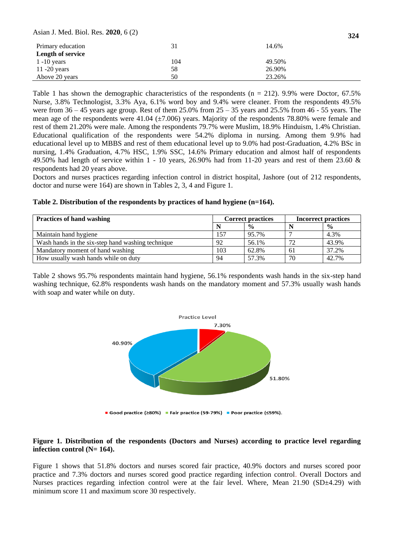Asian J. Med. Biol. Res. **2020**, 6 (2)

| Primary education        | 31  | 14.6%  |
|--------------------------|-----|--------|
| <b>Length of service</b> |     |        |
| $1 - 10$ years           | 104 | 49.50% |
| $11 - 20$ years          | 58  | 26.90% |
| Above 20 years           | 50  | 23.26% |

Table 1 has shown the demographic characteristics of the respondents ( $n = 212$ ). 9.9% were Doctor, 67.5% Nurse, 3.8% Technologist, 3.3% Aya, 6.1% word boy and 9.4% were cleaner. From the respondents 49.5% were from  $36 - 45$  years age group. Rest of them  $25.0\%$  from  $25 - 35$  years and  $25.5\%$  from  $46 - 55$  years. The mean age of the respondents were  $41.04 \ (\pm 7.006)$  years. Majority of the respondents 78.80% were female and rest of them 21.20% were male. Among the respondents 79.7% were Muslim, 18.9% Hinduism, 1.4% Christian. Educational qualification of the respondents were 54.2% diploma in nursing. Among them 9.9% had educational level up to MBBS and rest of them educational level up to 9.0% had post-Graduation, 4.2% BSc in nursing, 1.4% Graduation, 4.7% HSC, 1.9% SSC, 14.6% Primary education and almost half of respondents 49.50% had length of service within 1 - 10 years, 26.90% had from 11-20 years and rest of them 23.60 & respondents had 20 years above.

Doctors and nurses practices regarding infection control in district hospital, Jashore (out of 212 respondents, doctor and nurse were 164) are shown in Tables 2, 3, 4 and Figure 1.

|  |  | Table 2. Distribution of the respondents by practices of hand hygiene (n=164). |  |
|--|--|--------------------------------------------------------------------------------|--|
|  |  |                                                                                |  |

| <b>Practices of hand washing</b>                  | <b>Correct practices</b> |               | <b>Incorrect practices</b> |               |
|---------------------------------------------------|--------------------------|---------------|----------------------------|---------------|
|                                                   |                          | $\frac{0}{0}$ |                            | $\frac{0}{0}$ |
| Maintain hand hygiene                             | 157                      | 95.7%         |                            | 4.3%          |
| Wash hands in the six-step hand washing technique | 92                       | 56.1%         | $72^{\circ}$               | 43.9%         |
| Mandatory moment of hand washing                  | 103                      | 62.8%         | -61                        | 37.2%         |
| How usually wash hands while on duty              | 94                       | 57.3%         | 70                         | 42.7%         |

Table 2 shows 95.7% respondents maintain hand hygiene, 56.1% respondents wash hands in the six-step hand washing technique, 62.8% respondents wash hands on the mandatory moment and 57.3% usually wash hands with soap and water while on duty.



#### **Figure 1. Distribution of the respondents (Doctors and Nurses) according to practice level regarding infection control (N= 164).**

Figure 1 shows that 51.8% doctors and nurses scored fair practice, 40.9% doctors and nurses scored poor practice and 7.3% doctors and nurses scored good practice regarding infection control. Overall Doctors and Nurses practices regarding infection control were at the fair level. Where, Mean 21.90 (SD±4.29) with minimum score 11 and maximum score 30 respectively.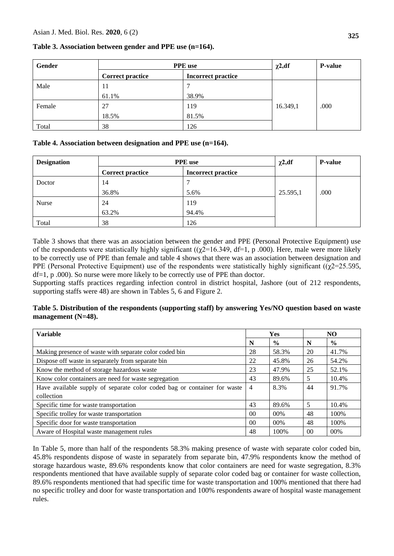| Gender | <b>PPE</b> use          |                           | $\chi$ 2,df | <b>P-value</b> |
|--------|-------------------------|---------------------------|-------------|----------------|
|        | <b>Correct practice</b> | <b>Incorrect practice</b> |             |                |
| Male   | 11                      |                           |             |                |
|        | 61.1%                   | 38.9%                     |             |                |
| Female | 27                      | 119                       | 16.349,1    | .000           |
|        | 18.5%                   | 81.5%                     |             |                |
| Total  | 38                      | 126                       |             |                |

# **Table 3. Association between gender and PPE use (n=164).**

## **Table 4. Association between designation and PPE use (n=164).**

| <b>Designation</b> | <b>PPE</b> use          |                           | $\chi$ 2,df | <b>P-value</b> |
|--------------------|-------------------------|---------------------------|-------------|----------------|
|                    | <b>Correct practice</b> | <b>Incorrect practice</b> |             |                |
| Doctor             | 14                      |                           |             |                |
|                    | 36.8%                   | 5.6%                      | 25.595,1    | .000           |
| Nurse              | 24                      | 119                       |             |                |
|                    | 63.2%                   | 94.4%                     |             |                |
| Total              | 38                      | 126                       |             |                |

Table 3 shows that there was an association between the gender and PPE (Personal Protective Equipment) use of the respondents were statistically highly significant ( $(\gamma \bar{2}$ =16.349, df=1, p .000). Here, male were more likely to be correctly use of PPE than female and table 4 shows that there was an association between designation and PPE (Personal Protective Equipment) use of the respondents were statistically highly significant ( $(\gamma$ 2=25.595, df=1, p .000). So nurse were more likely to be correctly use of PPE than doctor.

Supporting staffs practices regarding infection control in district hospital, Jashore (out of 212 respondents, supporting staffs were 48) are shown in Tables 5, 6 and Figure 2.

# **Table 5. Distribution of the respondents (supporting staff) by answering Yes/NO question based on waste management (N=48).**

| <b>Variable</b>                                                          | Yes            |               | NO. |               |
|--------------------------------------------------------------------------|----------------|---------------|-----|---------------|
|                                                                          | N              | $\frac{0}{0}$ | N   | $\frac{0}{0}$ |
| Making presence of waste with separate color coded bin                   | 28             | 58.3%         | 20  | 41.7%         |
| Dispose off waste in separately from separate bin                        | 22             | 45.8%         | 26  | 54.2%         |
| Know the method of storage hazardous waste                               | 23             | 47.9%         | 25  | 52.1%         |
| Know color containers are need for waste segregation                     | 43             | 89.6%         | 5   | 10.4%         |
| Have available supply of separate color coded bag or container for waste | $\overline{4}$ | 8.3%          | 44  | 91.7%         |
| collection                                                               |                |               |     |               |
| Specific time for waste transportation                                   | 43             | 89.6%         | 5   | 10.4%         |
| Specific trolley for waste transportation                                | 0 <sup>0</sup> | 00%           | 48  | 100%          |
| Specific door for waste transportation                                   | 0 <sup>0</sup> | 00%           | 48  | 100%          |
| Aware of Hospital waste management rules                                 | 48             | 100%          | 00  | 00%           |

In Table 5, more than half of the respondents 58.3% making presence of waste with separate color coded bin, 45.8% respondents dispose of waste in separately from separate bin, 47.9% respondents know the method of storage hazardous waste, 89.6% respondents know that color containers are need for waste segregation, 8.3% respondents mentioned that have available supply of separate color coded bag or container for waste collection, 89.6% respondents mentioned that had specific time for waste transportation and 100% mentioned that there had no specific trolley and door for waste transportation and 100% respondents aware of hospital waste management rules.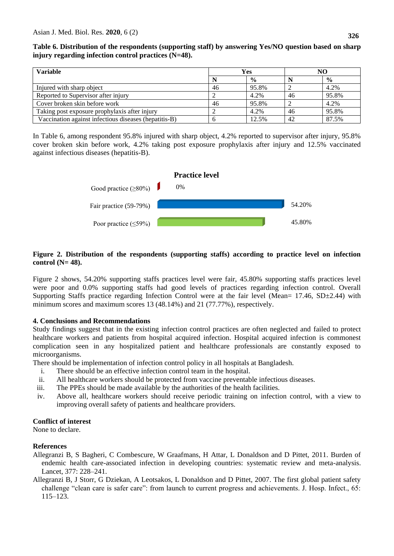**Table 6. Distribution of the respondents (supporting staff) by answering Yes/NO question based on sharp injury regarding infection control practices (N=48).**

| <b>Variable</b>                                       | Yes |               |    | NO            |
|-------------------------------------------------------|-----|---------------|----|---------------|
|                                                       |     | $\frac{0}{0}$ |    | $\frac{0}{0}$ |
| Injured with sharp object                             | 46  | 95.8%         |    | 4.2%          |
| Reported to Supervisor after injury                   |     | 4.2%          | 46 | 95.8%         |
| Cover broken skin before work                         | 46  | 95.8%         |    | 4.2%          |
| Taking post exposure prophylaxis after injury         |     | 4.2%          | 46 | 95.8%         |
| Vaccination against infectious diseases (hepatitis-B) |     | 12.5%         | 42 | 87.5%         |

In Table 6, among respondent 95.8% injured with sharp object, 4.2% reported to supervisor after injury, 95.8% cover broken skin before work, 4.2% taking post exposure prophylaxis after injury and 12.5% vaccinated against infectious diseases (hepatitis-B).



## **Figure 2. Distribution of the respondents (supporting staffs) according to practice level on infection control (N= 48).**

Figure 2 shows, 54.20% supporting staffs practices level were fair, 45.80% supporting staffs practices level were poor and 0.0% supporting staffs had good levels of practices regarding infection control. Overall Supporting Staffs practice regarding Infection Control were at the fair level (Mean=  $17.46$ , SD $\pm$ 2.44) with minimum scores and maximum scores 13 (48.14%) and 21 (77.77%), respectively.

#### **4. Conclusions and Recommendations**

Study findings suggest that in the existing infection control practices are often neglected and failed to protect healthcare workers and patients from hospital acquired infection. Hospital acquired infection is commonest complication seen in any hospitalized patient and healthcare professionals are constantly exposed to microorganisms.

There should be implementation of infection control policy in all hospitals at Bangladesh.

- i. There should be an effective infection control team in the hospital.
- ii. All healthcare workers should be protected from vaccine preventable infectious diseases.
- iii. The PPEs should be made available by the authorities of the health facilities.
- iv. Above all, healthcare workers should receive periodic training on infection control, with a view to improving overall safety of patients and healthcare providers.

# **Conflict of interest**

None to declare.

# **References**

- Allegranzi B, S Bagheri, C Combescure, W Graafmans, H Attar, L Donaldson and D Pittet, 2011. Burden of endemic health care-associated infection in developing countries: systematic review and meta-analysis. Lancet, 377: 228–241.
- Allegranzi B, J Storr, G Dziekan, A Leotsakos, L Donaldson and D Pittet, 2007. The first global patient safety challenge "clean care is safer care": from launch to current progress and achievements. J. Hosp. Infect., 65: 115–123.